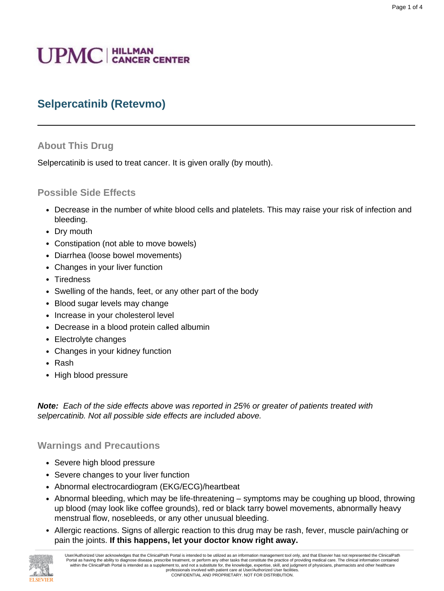# **UPMC** | HILLMAN

# **Selpercatinib (Retevmo)**

#### **About This Drug**

Selpercatinib is used to treat cancer. It is given orally (by mouth).

#### **Possible Side Effects**

- Decrease in the number of white blood cells and platelets. This may raise your risk of infection and bleeding.
- Dry mouth
- Constipation (not able to move bowels)
- Diarrhea (loose bowel movements)
- Changes in your liver function
- Tiredness
- Swelling of the hands, feet, or any other part of the body
- Blood sugar levels may change
- Increase in your cholesterol level
- Decrease in a blood protein called albumin
- Electrolyte changes
- Changes in your kidney function
- Rash
- High blood pressure

**Note:** Each of the side effects above was reported in 25% or greater of patients treated with selpercatinib. Not all possible side effects are included above.

#### **Warnings and Precautions**

- Severe high blood pressure
- Severe changes to your liver function
- Abnormal electrocardiogram (EKG/ECG)/heartbeat
- Abnormal bleeding, which may be life-threatening symptoms may be coughing up blood, throwing up blood (may look like coffee grounds), red or black tarry bowel movements, abnormally heavy menstrual flow, nosebleeds, or any other unusual bleeding.
- Allergic reactions. Signs of allergic reaction to this drug may be rash, fever, muscle pain/aching or pain the joints. **If this happens, let your doctor know right away.**

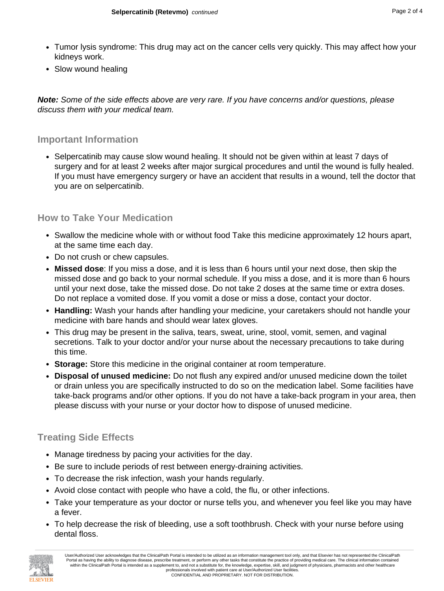- Tumor lysis syndrome: This drug may act on the cancer cells very quickly. This may affect how your kidneys work.
- Slow wound healing

**Note:** Some of the side effects above are very rare. If you have concerns and/or questions, please discuss them with your medical team.

#### **Important Information**

• Selpercatinib may cause slow wound healing. It should not be given within at least 7 days of surgery and for at least 2 weeks after major surgical procedures and until the wound is fully healed. If you must have emergency surgery or have an accident that results in a wound, tell the doctor that you are on selpercatinib.

#### **How to Take Your Medication**

- Swallow the medicine whole with or without food Take this medicine approximately 12 hours apart, at the same time each day.
- Do not crush or chew capsules.
- **Missed dose**: If you miss a dose, and it is less than 6 hours until your next dose, then skip the missed dose and go back to your normal schedule. If you miss a dose, and it is more than 6 hours until your next dose, take the missed dose. Do not take 2 doses at the same time or extra doses. Do not replace a vomited dose. If you vomit a dose or miss a dose, contact your doctor.
- **Handling:** Wash your hands after handling your medicine, your caretakers should not handle your medicine with bare hands and should wear latex gloves.
- This drug may be present in the saliva, tears, sweat, urine, stool, vomit, semen, and vaginal secretions. Talk to your doctor and/or your nurse about the necessary precautions to take during this time.
- **Storage:** Store this medicine in the original container at room temperature.
- **Disposal of unused medicine:** Do not flush any expired and/or unused medicine down the toilet or drain unless you are specifically instructed to do so on the medication label. Some facilities have take-back programs and/or other options. If you do not have a take-back program in your area, then please discuss with your nurse or your doctor how to dispose of unused medicine.

# **Treating Side Effects**

- Manage tiredness by pacing your activities for the day.
- Be sure to include periods of rest between energy-draining activities.
- To decrease the risk infection, wash your hands regularly.
- Avoid close contact with people who have a cold, the flu, or other infections.
- Take your temperature as your doctor or nurse tells you, and whenever you feel like you may have a fever.
- To help decrease the risk of bleeding, use a soft toothbrush. Check with your nurse before using dental floss.

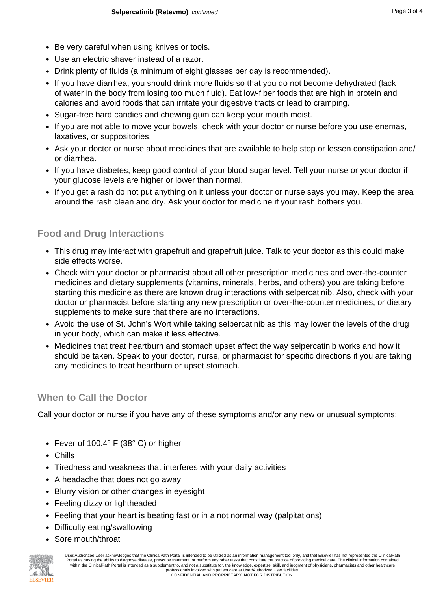- Be very careful when using knives or tools.
- Use an electric shaver instead of a razor.
- Drink plenty of fluids (a minimum of eight glasses per day is recommended).
- If you have diarrhea, you should drink more fluids so that you do not become dehydrated (lack of water in the body from losing too much fluid). Eat low-fiber foods that are high in protein and calories and avoid foods that can irritate your digestive tracts or lead to cramping.
- Sugar-free hard candies and chewing gum can keep your mouth moist.
- If you are not able to move your bowels, check with your doctor or nurse before you use enemas, laxatives, or suppositories.
- Ask your doctor or nurse about medicines that are available to help stop or lessen constipation and/ or diarrhea.
- If you have diabetes, keep good control of your blood sugar level. Tell your nurse or your doctor if your glucose levels are higher or lower than normal.
- If you get a rash do not put anything on it unless your doctor or nurse says you may. Keep the area around the rash clean and dry. Ask your doctor for medicine if your rash bothers you.

## **Food and Drug Interactions**

- This drug may interact with grapefruit and grapefruit juice. Talk to your doctor as this could make side effects worse.
- Check with your doctor or pharmacist about all other prescription medicines and over-the-counter medicines and dietary supplements (vitamins, minerals, herbs, and others) you are taking before starting this medicine as there are known drug interactions with selpercatinib. Also, check with your doctor or pharmacist before starting any new prescription or over-the-counter medicines, or dietary supplements to make sure that there are no interactions.
- Avoid the use of St. John's Wort while taking selpercatinib as this may lower the levels of the drug in your body, which can make it less effective.
- Medicines that treat heartburn and stomach upset affect the way selpercatinib works and how it should be taken. Speak to your doctor, nurse, or pharmacist for specific directions if you are taking any medicines to treat heartburn or upset stomach.

## **When to Call the Doctor**

Call your doctor or nurse if you have any of these symptoms and/or any new or unusual symptoms:

- Fever of 100.4° F (38° C) or higher
- Chills
- Tiredness and weakness that interferes with your daily activities
- A headache that does not go away
- Blurry vision or other changes in eyesight
- Feeling dizzy or lightheaded
- Feeling that your heart is beating fast or in a not normal way (palpitations)
- Difficulty eating/swallowing
- Sore mouth/throat



User/Authorized User acknowledges that the ClinicalPath Portal is intended to be utilized as an information management tool only, and that Elsevier has not represented the ClinicalPath Portal as having the ability to diagnose disease, prescribe treatment, or perform any other tasks that constitute the practice of providing medical care. The clinical information contained within the ClinicalPath Portal is intended as a supplement to, and not a substitute for, the knowledge, expertise, skill, and judgment of physicians, pharmacists and other healthcare professionals involved with patient care at User/Authorized User facilities. CONFIDENTIAL AND PROPRIETARY. NOT FOR DISTRIBUTION.